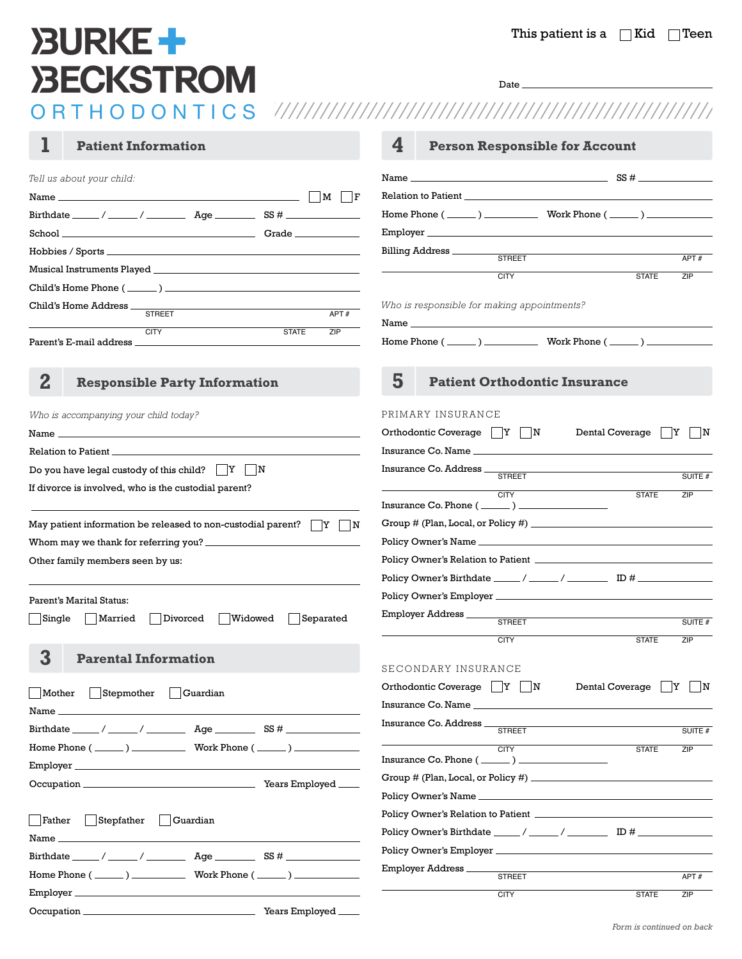# **BURKE+ BECKSTROM**

Date.

| Tell us about your child:                                                                                                                                                                                                           |                                                                            |                                                                                                                                                                                                                                     |                                          |
|-------------------------------------------------------------------------------------------------------------------------------------------------------------------------------------------------------------------------------------|----------------------------------------------------------------------------|-------------------------------------------------------------------------------------------------------------------------------------------------------------------------------------------------------------------------------------|------------------------------------------|
|                                                                                                                                                                                                                                     |                                                                            |                                                                                                                                                                                                                                     |                                          |
|                                                                                                                                                                                                                                     |                                                                            | Home Phone $(\_\_\_\_)$ $\_\_\_\_\_$ Work Phone $(\_\_\_\_)$                                                                                                                                                                        |                                          |
|                                                                                                                                                                                                                                     |                                                                            |                                                                                                                                                                                                                                     |                                          |
|                                                                                                                                                                                                                                     |                                                                            | Billing Address<br><b>STREET</b>                                                                                                                                                                                                    |                                          |
|                                                                                                                                                                                                                                     |                                                                            |                                                                                                                                                                                                                                     | APT#                                     |
|                                                                                                                                                                                                                                     |                                                                            | <b>CITY</b>                                                                                                                                                                                                                         | <b>STATE</b><br>ZIP                      |
| Child's Home Address <u>STREET</u>                                                                                                                                                                                                  | the control of the control of the control of the control of the control of | Who is responsible for making appointments?                                                                                                                                                                                         |                                          |
|                                                                                                                                                                                                                                     | APT#                                                                       |                                                                                                                                                                                                                                     |                                          |
| <b>CITY</b>                                                                                                                                                                                                                         | ZIP<br><b>STATE</b>                                                        | Home Phone $(\_\_\_\_)$ Work Phone $(\_\_\_\_)$                                                                                                                                                                                     |                                          |
|                                                                                                                                                                                                                                     |                                                                            |                                                                                                                                                                                                                                     |                                          |
| $\bf{2}$<br><b>Responsible Party Information</b>                                                                                                                                                                                    |                                                                            | 5<br><b>Patient Orthodontic Insurance</b>                                                                                                                                                                                           |                                          |
|                                                                                                                                                                                                                                     |                                                                            |                                                                                                                                                                                                                                     |                                          |
| Who is accompanying your child today?                                                                                                                                                                                               |                                                                            | PRIMARY INSURANCE                                                                                                                                                                                                                   |                                          |
| Name $\overline{\phantom{a}}$                                                                                                                                                                                                       |                                                                            | Orthodontic Coverage $  Y  N  $                                                                                                                                                                                                     | Dental Coverage<br> Y <br>$\blacksquare$ |
| Relation to Patient <b>Exercise 2</b> and 2 and 2 and 2 and 2 and 2 and 2 and 2 and 2 and 2 and 2 and 2 and 2 and 2 and 2 and 2 and 2 and 2 and 2 and 2 and 2 and 2 and 2 and 2 and 2 and 2 and 2 and 2 and 2 and 2 and 2 and 2 and |                                                                            | Insurance Co. Name <b>Expansion Communication</b> in the contract of the contract of the contract of the contract of the contract of the contract of the contract of the contract of the contract of the contract of the contract o |                                          |
| Do you have legal custody of this child? $\Box Y \Box N$                                                                                                                                                                            |                                                                            |                                                                                                                                                                                                                                     | SUITE #                                  |
| If divorce is involved, who is the custodial parent?                                                                                                                                                                                |                                                                            | CITY                                                                                                                                                                                                                                | <b>STATE</b><br>ZIP                      |
|                                                                                                                                                                                                                                     |                                                                            |                                                                                                                                                                                                                                     |                                          |
| May patient information be released to non-custodial parent? $\Box Y$                                                                                                                                                               |                                                                            |                                                                                                                                                                                                                                     |                                          |
|                                                                                                                                                                                                                                     |                                                                            |                                                                                                                                                                                                                                     |                                          |
|                                                                                                                                                                                                                                     |                                                                            |                                                                                                                                                                                                                                     |                                          |
|                                                                                                                                                                                                                                     |                                                                            |                                                                                                                                                                                                                                     |                                          |
|                                                                                                                                                                                                                                     |                                                                            |                                                                                                                                                                                                                                     |                                          |
|                                                                                                                                                                                                                                     |                                                                            | Policy Owner's Employer                                                                                                                                                                                                             |                                          |
| Single<br>Divorced<br>Married                                                                                                                                                                                                       | Widowed<br>Separated                                                       | Employer Address                                                                                                                                                                                                                    |                                          |
|                                                                                                                                                                                                                                     |                                                                            | <b>STREET</b>                                                                                                                                                                                                                       | SUITE #                                  |
|                                                                                                                                                                                                                                     |                                                                            | <b>CITY</b>                                                                                                                                                                                                                         | <b>STATE</b><br>ZIP                      |
| Other family members seen by us:<br>Parent's Marital Status:<br>3<br><b>Parental Information</b>                                                                                                                                    |                                                                            | SECONDARY INSURANCE                                                                                                                                                                                                                 |                                          |
|                                                                                                                                                                                                                                     |                                                                            | Orthodontic Coverage $\ Y\ N$                                                                                                                                                                                                       | Dental Coverage   Y   N                  |
| Mother Stepmother Guardian                                                                                                                                                                                                          |                                                                            |                                                                                                                                                                                                                                     |                                          |
|                                                                                                                                                                                                                                     |                                                                            |                                                                                                                                                                                                                                     |                                          |
|                                                                                                                                                                                                                                     |                                                                            |                                                                                                                                                                                                                                     | SUITE #                                  |
| Home Phone $(\_\_\_\_\_$ ) $\_\_\_\_\_$ Work Phone $(\_\_\_\_\)_$                                                                                                                                                                   |                                                                            | <b>CITY</b><br>Insurance Co. Phone $(\_\_\_\_\_)$                                                                                                                                                                                   | <b>STATE</b><br>ZIP                      |
|                                                                                                                                                                                                                                     |                                                                            |                                                                                                                                                                                                                                     |                                          |
|                                                                                                                                                                                                                                     |                                                                            |                                                                                                                                                                                                                                     |                                          |
|                                                                                                                                                                                                                                     |                                                                            |                                                                                                                                                                                                                                     |                                          |
| $\vert$ Stepfather $\vert$ Guardian<br>Father                                                                                                                                                                                       |                                                                            |                                                                                                                                                                                                                                     |                                          |
|                                                                                                                                                                                                                                     |                                                                            |                                                                                                                                                                                                                                     |                                          |
|                                                                                                                                                                                                                                     |                                                                            | Employer Address                                                                                                                                                                                                                    |                                          |
|                                                                                                                                                                                                                                     |                                                                            | <b>STREET</b><br><b>CITY</b>                                                                                                                                                                                                        | APT#<br><b>STATE</b><br>ZIP              |